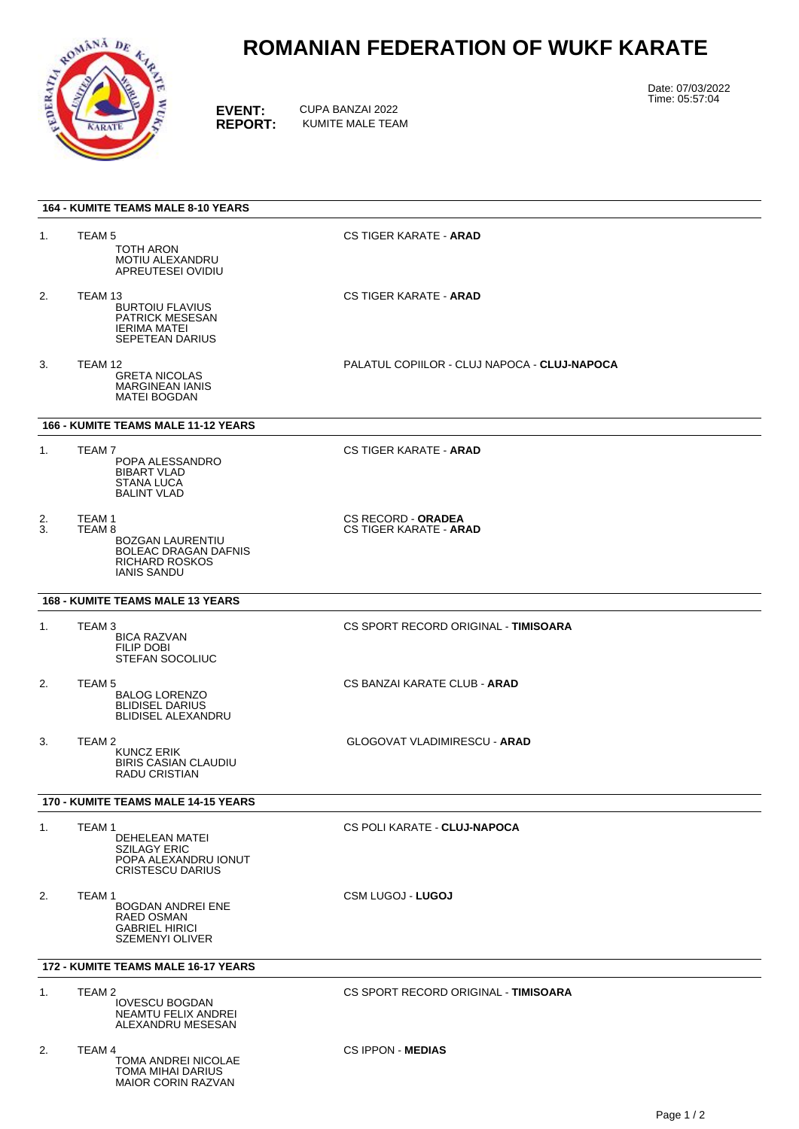

MAIOR CORIN RAZVAN

## **ROMANIAN FEDERATION OF WUKF KARATE**

**EVENT:** CUPA BANZAI 2022<br> **REPORT:** KUMITE MALE TEA **REPORT:** KUMITE MALE TEAM Date: 07/03/2022 Time: 05:57:04

| <b>164 - KUMITE TEAMS MALE 8-10 YEARS</b>  |                                                                                                                                      |                                                            |
|--------------------------------------------|--------------------------------------------------------------------------------------------------------------------------------------|------------------------------------------------------------|
| 1.                                         | TEAM <sub>5</sub><br>TOTH ARON<br>MOTIU ALEXANDRU<br>APREUTESEI OVIDIU                                                               | <b>CS TIGER KARATE - ARAD</b>                              |
| 2.                                         | TEAM 13<br><b>BURTOIU FLAVIUS</b><br><b>PATRICK MESESAN</b><br><b>IERIMA MATEI</b><br><b>SEPETEAN DARIUS</b>                         | <b>CS TIGER KARATE - ARAD</b>                              |
| 3.                                         | TEAM 12<br><b>GRETA NICOLAS</b><br><b>MARGINEAN IANIS</b><br><b>MATEI BOGDAN</b>                                                     | PALATUL COPIILOR - CLUJ NAPOCA - CLUJ-NAPOCA               |
| <b>166 - KUMITE TEAMS MALE 11-12 YEARS</b> |                                                                                                                                      |                                                            |
| 1.                                         | TEAM 7<br>POPA ALESSANDRO<br><b>BIBART VLAD</b><br><b>STANA LUCA</b><br><b>BALINT VLAD</b>                                           | <b>CS TIGER KARATE - ARAD</b>                              |
| 2.<br>3.                                   | TEAM <sub>1</sub><br>TEAM 8<br><b>BOZGAN LAURENTIU</b><br><b>BOLEAC DRAGAN DAFNIS</b><br><b>RICHARD ROSKOS</b><br><b>IANIS SANDU</b> | <b>CS RECORD - ORADEA</b><br><b>CS TIGER KARATE - ARAD</b> |
| <b>168 - KUMITE TEAMS MALE 13 YEARS</b>    |                                                                                                                                      |                                                            |
| 1.                                         | TEAM <sub>3</sub><br><b>BICA RAZVAN</b><br>FILIP DOBI<br><b>STEFAN SOCOLIUC</b>                                                      | CS SPORT RECORD ORIGINAL - TIMISOARA                       |
| 2.                                         | TEAM 5<br><b>BALOG LORENZO</b><br><b>BLIDISEL DARIUS</b><br><b>BLIDISEL ALEXANDRU</b>                                                | CS BANZAI KARATE CLUB - ARAD                               |
| 3.                                         | TEAM <sub>2</sub><br><b>KUNCZ ERIK</b><br><b>BIRIS CASIAN CLAUDIU</b><br><b>RADU CRISTIAN</b>                                        | <b>GLOGOVAT VLADIMIRESCU - ARAD</b>                        |
| 170 - KUMITE TEAMS MALE 14-15 YEARS        |                                                                                                                                      |                                                            |
| 1.                                         | TEAM 1<br>DEHELEAN MATEI<br><b>SZILAGY ERIC</b><br>POPA ALEXANDRU IONUT<br><b>CRISTESCU DARIUS</b>                                   | CS POLI KARATE - CLUJ-NAPOCA                               |
| 2.                                         | TEAM <sub>1</sub><br><b>BOGDAN ANDREI ENE</b><br>RAED OSMAN<br><b>GABRIEL HIRICI</b><br><b>SZEMENYI OLIVER</b>                       | <b>CSM LUGOJ - LUGOJ</b>                                   |
| <b>172 - KUMITE TEAMS MALE 16-17 YEARS</b> |                                                                                                                                      |                                                            |
| 1.                                         | TEAM <sub>2</sub><br><b>IOVESCU BOGDAN</b><br>NEAMTU FELIX ANDREI<br>ALEXANDRU MESESAN                                               | CS SPORT RECORD ORIGINAL - TIMISOARA                       |
| 2.                                         | TEAM 4<br>TOMA ANDREI NICOLAE<br>TOMA MIHAI DARIUS                                                                                   | <b>CS IPPON - MEDIAS</b>                                   |